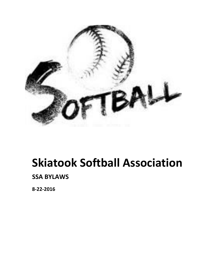

# **Skiatook Softball Association**

## **SSA BYLAWS**

**8-22-2016**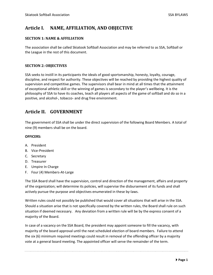## **Article I. NAME, AFFILIATION, AND OBJECTIVE**

#### **SECTION 1: NAME & AFFILIATION**

The association shall be called Skiatook Softball Association and may be referred to as SSA, Softball or the League in the rest of this document.

#### **SECTION 2: OBJECTIVES**

SSA seeks to instill in its participants the ideals of good sportsmanship, honesty, loyalty, courage, discipline, and respect for authority. These objectives will be reached by providing the highest quality of supervision and competitive games. The supervisors shall bear in mind at all times that the attainment of exceptional athletic skill or the winning of games is secondary to the player's wellbeing. It is the philosophy of SSA to have its coaches, teach all players all aspects of the game of softball and do so in a positive, and alcohol-, tobacco- and drug free environment.

## **Article II. GOVERNMENT**

The government of SSA shall be under the direct supervision of the following Board Members. A total of nine (9) members shall be on the board.

#### **OFFICERS:**

- A. President
- B. Vice-President
- C. Secretary
- D. Treasurer
- E. Umpire In Charge
- F. Four (4) Members-At-Large

The SSA Board shall have the supervision, control and direction of the management, affairs and property of the organization; will determine its policies, will supervise the disbursement of its funds and shall actively pursue the purpose and objectives enumerated in these by-laws.

Written rules could not possibly be published that would cover all situations that will arise in the SSA. Should a situation arise that is not specifically covered by the written rules, the Board shall rule on such situation if deemed necessary. Any deviation from a written rule will be by the express consent of a majority of the Board.

In case of a vacancy on the SSA Board, the president may appoint someone to fill the vacancy, with majority of the board approval until the next scheduled election of board members. Failure to attend the six (6) minimum required meetings could result in removal of the offending officer by a majority vote at a general board meeting. The appointed officer will serve the remainder of the term.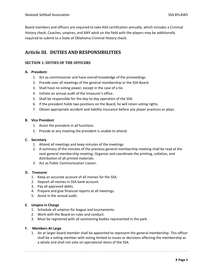Board members and officers are required to take ASA certification annually, which includes a Criminal History check. Coaches, umpires, and ANY adult on the field with the players may be additionally required to submit to a State of Oklahoma Criminal History check.

## **Article III. DUTIES AND RESPONSIBILITIES**

#### **SECTION 1: DUTIES OF THE OFFICERS**

#### **A. President:**

- 1. Act as commissioner and have overall knowledge of the proceedings.
- 2. Preside over all meetings of the general membership or the SSA Board.
- 3. Shall have no voting power, except in the case of a tie.
- 4. Initiate an annual audit of the treasurer's office.
- 5. Shall be responsible for the day-to-day operation of the SSA.
- 6. If the president holds two positions on the Board, he will retain voting rights.
- 7. Obtain appropriate accident and liability insurance before any player practices or plays.

#### **B. Vice President**

- 1. Assist the president in all functions.
- 2. Preside at any meeting the president is unable to attend.

#### **C. Secretary**

- 1. Attend all meetings and keep minutes of the meetings.
- 2. A summary of the minutes of the previous general membership meeting shall be read at the next general membership meeting. Organize and coordinate the printing, collation, and distribution of all printed materials.
- 3. Act as Public Communication Liaison.

#### **D. Treasurer**

- 1. Keep an accurate account of all monies for the SSA.
- 2. Deposit all monies in SSA bank account.
- 3. Pay all approved debts.
- 4. Prepare and give financial reports at all meetings.
- 5. Assist in the annual audit.

#### **E. Umpire in Charge**

- 1. Schedule all umpires for league and tournaments.
- 2. Work with the Board on rules and conduct.
- 3. Must be registered with all sanctioning bodies represented in the park.

#### **F. Members At Large**

1. An at larger board member shall be appointed to represent the general membership. This officer shall be a voting member with voting limited to issues or decisions affecting the membership as a whole and shall not vote on operational items of the SSA.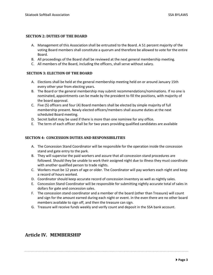#### **SECTION 2: DUTIES OF THE BOARD**

- A. Management of this Association shall be entrusted to the Board. A 51 percent majority of the voting Board members shall constitute a quorum and therefore be allowed to vote for the entire Board.
- B. All proceedings of the Board shall be reviewed at the next general membership meeting.
- C. All members of the Board, including the officers, shall serve without salary.

#### **SECTION 3: ELECTION OF THE BOARD**

- A. Elections shall be held at the general membership meeting held on or around January 15th every other year from electing years.
- B. The Board or the general membership may submit recommendations/nominations. If no one is nominated, appointments can be made by the president to fill the positions, with majority of the board approval.
- C. Five (5) officers and four (4) Board members shall be elected by simple majority of full membership present. Newly elected officers/members shall assume duties at the next scheduled Board meeting.
- D. Secret ballot may be used if there is more than one nominee for any office.
- E. The term of each officer shall be for two years providing qualified candidates are available

#### **SECTION 4: CONCESSION DUTIES AND RESPONSIBILITIES**

- A. The Concession Stand Coordinator will be responsible for the operation inside the concession stand and gate entry to the park.
- B. They will supervise the paid workers and assure that all concession stand procedures are followed. Should they be unable to work their assigned night due to illness they must coordinate with another qualified person to trade nights.
- C. Workers must be 12 years of age or older. The Coordinator will pay workers each night and keep a record of hours worked.
- D. Coordinator should keep accurate record of concession inventory as well as nightly sales.
- E. Concession Stand Coordinator will be responsible for submitting nightly accurate total of sales in dollars for gate and concession sales.
- F. The concession stand coordinator and a member of the board (other than Treasure) will count and sign for the amount earned during each night or event. In the even there are no other board members available to sign off, and then the treasure can sign.
- G. Treasure will receive funds weekly and verify count and deposit in the SSA bank account.

### **Article IV. MEMBERSHIP**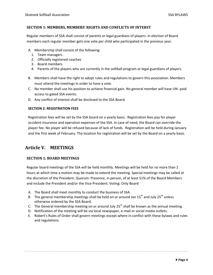#### **SECTION 1: MEMBERS, MEMBERS' RIGHTS AND CONFLICTS OF INTERST**

Regular members of SSA shall consist of parents or legal guardians of players. In election of Board members each regular member gets one vote per child who participated in the previous year.

- A. Membership shall consist of the following:
	- 1. Team managers
	- 2. Officially registered coaches
	- 3. Board members
	- 4. Parents of the players who are currently in the softball program or legal guardians of players.
- B. Members shall have the right to adopt rules and regulations to govern this association. Members must attend the meetings in order to have a vote.
- C. No member shall use his position to achieve financial gain. No general member will have UN- paid access to gated SSA events.
- D. Any conflict of interest shall be disclosed to the SSA Board.

#### **SECTION 2: REGISTRATION FEES**

Registration fees will be set by the SSA board on a yearly basis. Registration fees pay for player accident insurance and operation expenses of the SSA. In case of need, the Board can override the player fee. No player will be refused because of lack of funds. Registration will be held during January and the first week of February. The location for registration will be set by the Board on a yearly basis.

## **Article V. MEETINGS**

#### **SECTION 1: BOARD MEETINGS**

Regular board meetings of the SSA will be held monthly. Meetings will be held for no more than 2 hours at which time a motion may be made to extend the meeting. Special meetings may be called at the discretion of the President. Quorum: Presence, in person, of at least 51% of the Board Members and include the President and/or the Vice-President. Voting: Only Board

- A. The Board shall meet monthly to conduct the business of SSA.
- B. The general membership meetings shall be held on or around Jan  $15^{th}$  and July  $25^{th}$  unless otherwise ordered by the SSA Board.
- C. The General membership meeting on or around July  $25<sup>th</sup>$  shall be known as the annual meeting.
- D. Notification of the meeting will be via local newspaper, e-mail or social media outlets.
- E. Robert's Rules of Order shall govern meetings except where in conflict with these bylaws and rules and regulations.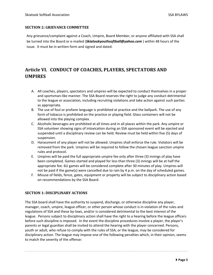#### **SECTION 2: GRIEVANCE COMMITTEE**

Any grievance/complaint against a Coach, Umpire, Board Member, or anyone affiliated with SSA shall be turned into the Board or e-mailed (*Skiatookyouthsoftball@yahoo.com* ) within 48 hours of the issue. It must be in written form and signed and dated.

## **Article VI. CONDUCT OF COACHES, PLAYERS, SPECTATORS AND UMPIRES**

- A. All coaches, players, spectators and umpires will be expected to conduct themselves in a proper and sportsman-like manner. The SSA Board reserves the right to judge any conduct detrimental to the league or association, including recruiting violations and take action against such parties as appropriate.
- B. The use of foul or profane language is prohibited at practice and the ballpark. The use of any form of tobacco is prohibited on the practice or playing field. Glass containers will not be allowed into the playing complex.
- C. Alcoholic beverages are prohibited at all times and in all places within the park. Any umpire or SSA volunteer showing signs of intoxication during an SSA sponsored event will be ejected and suspended until a disciplinary review can be held. Review must be held within five (5) days of suspension.
- D. Harassment of any player will not be allowed. Umpires shall enforce the rule. Violators will be removed from the park. Umpires will be required to follow the chosen league sanction umpire rules and protocol.
- E. Umpires will be paid the full appropriate umpire fee only after three (3) innings of play have been completed. Games started and played for less than three (3) innings will be at half the appropriate fee. 6U games will be considered complete after 30 minutes of play. Umpires will not be paid if the game(s) were cancelled due to rain by 4 p.m. on the day of scheduled games.
- F. Misuse of fields, fence, gates, equipment or property will be subject to disciplinary action based on recommendations by the SSA Board.

#### **SECTION 1: DISCIPLINARY ACTIONS**

The SSA board shall have the authority to suspend, discharge, or otherwise discipline any player, manager, coach, umpire, league officer, or other person whose conduct is in violation of the rules and regulations of SSA and these by-laws, and/or is considered detrimental to the best interest of the league. Persons subject to disciplinary action shall have the right to a hearing before the league officers before such discipline is imposed. In the event the discipline procedures involve a player, the player's parents or legal guardian shall be invited to attend the hearing with the player concerned. Persons, youth or adult, who refuse to comply with the rules of SSA, or the league, may be considered for disciplinary action. The league may impose one of the following penalties which, in their opinion, seems to match the severity of the offense: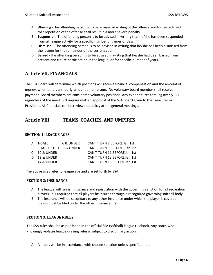- A. **Warning** -The offending person is to be advised in writing of the offense and further advised that repetition of the offense shall result in a more severe penalty.
- B. **Suspension -**The offending person is to be advised in writing that he/she has been suspended from all league activity for a specific number of games or days.
- C. **Dismissal**  The offending person is to be advised in writing that he/she has been dismissed from the league for the remainder of the current year.
- D. **Barred** -The offending person is to be advised in writing that he/she had been barred from present and future participation in the league, or for specific number of years.

## **Article VII. FINANCIALS**

The SSA Board will determine which positions will receive financial compensation and the amount of money, whether it is an hourly amount or lump sum. No voluntary board member shall receive payment. Board members are considered voluntary positions. Any expenditures totaling over \$150, regardless of the need, will require written approval of the SSA board given to the Treasurer or President. All financials can be reviewed publicly at the general meetings.

## **Article VIII. TEAMS, COACHES, AND UMPIRES**

#### **SECTION 1: LEAGUE AGES**

| A. T-BALL                | 6 & UNDER | CAN'T TURN 7 BEFORE Jan 1st  |
|--------------------------|-----------|------------------------------|
| B. COACH PITCH 8 & UNDER |           | CAN'T TURN 9 BEFORE Jan 1st  |
| $C.$ 10 & UNDER          |           | CAN'T TURN 11 BEFORE Jan 1st |
| <b>D. 12 &amp; UNDER</b> |           | CAN'T TURN 13 BEFORE Jan 1st |
| $E.$ 14 & UNDER          |           | CAN'T TURN 15 BEFORE Jan 1st |

The above ages refer to league age and are set forth by SSA

#### **SECTION 2: INSURANCE**

- A. The league will furnish insurance and registration with the governing sanction for all recreation players. It is required that all players be insured through a recognized governing softball body.
- B. The insurance will be secondary to any other insurance under which the player is covered. Claims must be filed under the other insurance first

#### **SECTION 3: LEAGUE RULES**

The SSA rules shall be as published in the official SSA (softball) league rulebook. Any coach who knowingly violates league-playing rules is subject to disciplinary action.

A. All rules will be in accordance with chosen sanction unless specified herein.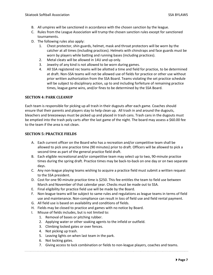- B. All umpires will be sanctioned in accordance with the chosen sanction by the league.
- C. Rules from the League Association will trump the chosen sanction rules except for sanctioned tournaments.
- D. The following rules also apply:
	- 1. Chest protector, shin guards, helmet, mask and throat protectors will be worn by the catcher at all times (including practices). Helmets with chinstraps and face guards must be worn by players while batting and running bases (including practices).
	- 2. Metal cleats will be allowed in 14U and up only.
	- 3. Jewelry of any kind is not allowed to be worn during games.
	- 4. All SSA registered rec teams will be allotted a time and field for practice, to be determined at draft. Non-SSA teams will not be allowed use of fields for practice or other use without prior written authorization from the SSA Board. Teams violating the set practice schedule will be subject to disciplinary action, up to and including forfeiture of remaining practice times, league game wins, and/or fines to be determined by the SSA Board.

#### **SECTION 4: PARK CLEANUP**

Each team is responsible for picking up all trash in their dugouts after each game. Coaches should ensure that their parents and players stay to help clean up. All trash in and around the dugouts, bleachers and breezeways must be picked up and placed in trash cans. Trash cans in the dugouts must be emptied into the trash poly carts after the last game of the night. The board may assess a \$60.00 fee to the team if the area is not clean.

#### **SECTION 5: PRACTICE FIELDS**

- A. Each current officer on the Board who has a recreation and/or competitive team shall be allowed to pick one practice time (90 minutes) prior to draft. Officers will be allowed to pick a second time as part of the general practice field draft.
- B. Each eligible recreational and/or competitive team may select up to two, 90-minute practice times during the spring draft. Practice times may be back-to-back on one day or on two separate days.
- C. Any non-league playing teams wishing to acquire a practice field must submit a written request to the SSA president.
- D. Cost for one 90-minute practice time is \$250. This fee entitles the team to field use between March and November of that calendar year. Checks must be made out to SSA.
- E. Final eligibility for practice field use will be made by the Board.
- F. Non-league teams will be subject to same rules and regulations as league teams in terms of field use and maintenance. Non-compliance can result in loss of field use and field rental payment.
- G. All field use is based on availability and conditions of fields.
- H. Fields may be closed to practice and games with no notice by Board.
- I. Misuse of fields includes, but is not limited to:
	- 1. Removal of bases or pitching rubber.
	- 2. Applying water or other soaking agents to the infield or outfield.
	- 3. Climbing locked gates or over fences.
	- 4. Not picking up trash.
	- 5. Leaving lights on when last team in the park.
	- 6. Not locking gates.
	- 7. Giving access to lock combination or fields to non-league players, coaches and teams.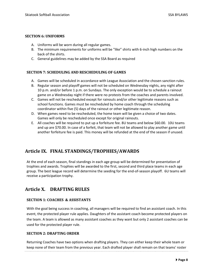#### **SECTION 6: UNIFORMS**

- A. Uniforms will be worn during all regular games.
- B. The minimum requirements for uniforms will be "like" shirts with 6-inch high numbers on the back of the shirts.
- C. General guidelines may be added by the SSA Board as required

#### **SECTION 7: SCHEDULING AND RESCHEDULING OF GAMES**

- A. Games will be scheduled in accordance with League Association and the chosen sanction rules.
- B. Regular season and playoff games will not be scheduled on Wednesday nights, any night after 10 p.m. and/or before 1 p.m. on Sundays. The only exception would be to schedule a rainout game on a Wednesday night if there were no protests from the coaches and parents involved.
- C. Games will not be rescheduled except for rainouts and/or other legitimate reasons such as school functions. Games must be rescheduled by home coach through the scheduling coordinator within five (5) days of the rainout or other legitimate reason.
- D. When games need to be rescheduled, the home team will be given a choice of two dates. Games will only be rescheduled once except for original rainouts.
- E. All coaches will be required to put up a forfeiture fee. 8U teams and below \$60.00. 10U teams and up are \$70.00. In case of a forfeit, that team will not be allowed to play another game until another forfeiture fee is paid. This money will be refunded at the end of the season if unused.

## **Article IX. FINAL STANDINGS/TROPHIES/AWARDS**

At the end of each season, final standings in each age group will be determined for presentation of trophies and awards. Trophies will be awarded to the first, second and third place teams in each age group. The best league record will determine the seeding for the end-of-season playoff. 6U teams will receive a participation trophy.

## **Article X. DRAFTING RULES**

#### **SECTION 1: COACHES & ASSISTANTS**

With the goal being success in coaching, all managers will be required to find an assistant coach. In this event, the protected player rule applies. Daughters of the assistant coach become protected players on the team. A team is allowed as many assistant coaches as they want but only 2 assistant coaches can be used for the protected player rule.

#### **SECTION 2: DRAFTING ORDER**

Returning Coaches have two options when drafting players. They can either keep their whole team or keep none of their team from the previous year. Each drafted player shall remain on that teams' roster